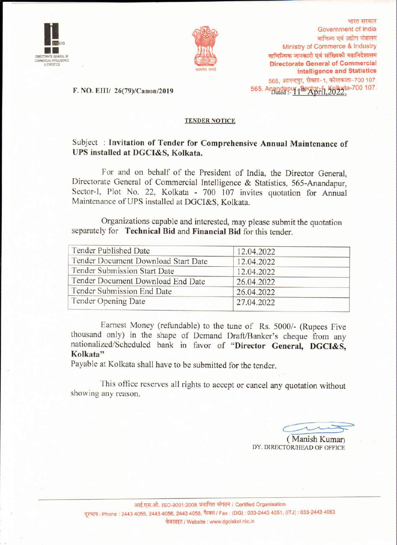



भारत सरकार Government of India वाणिज्य एवं उद्योग मंत्रालय Ministry of Commerce & Industry वाणिज्यिक जानकारी एवं सांख्यिकी महानिदेशालय **Directorate General of Commercial Intelligence and Statistics** 565, आनन्दपुर, सेक्टर-1, कोलकाता-700 107. 565, Anandapur 19extor-1, 26 kgta-700 107.

F. NO. EIII/ 26(79)/Canon/2019

#### **TENDER NOTICE**

#### Subject: Invitation of Tender for Comprehensive Annual Maintenance of UPS installed at DGCI&S, Kolkata.

For and on behalf of the President of India, the Director General, Directorate General of Commercial Intelligence & Statistics, 565-Anandapur, Sector-I, Plot No. 22, Kolkata - 700 107 invites quotation for Annual Maintenance of UPS installed at DGCI&S, Kolkata.

Organizations capable and interested, may please submit the quotation separately for Technical Bid and Financial Bid for this tender.

| 12.04.2022 |
|------------|
| 12.04.2022 |
| 12.04.2022 |
| 26.04.2022 |
| 26.04.2022 |
| 27.04.2022 |
|            |

Earnest Money (refundable) to the tune of Rs. 5000/- (Rupees Five thousand only) in the shape of Demand Draft/Banker's cheque from any nationalized/Scheduled bank in favor of "Director General, DGCI&S, Kolkata"

Payable at Kolkata shall have to be submitted for the tender.

This office reserves all rights to accept or cancel any quotation without showing any reason.

(Manish Kumar) DY. DIRECTOR/HEAD OF OFFICE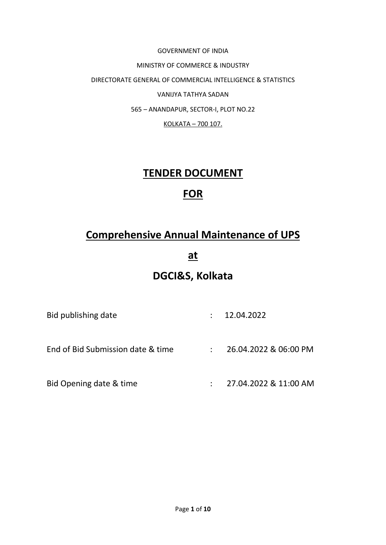GOVERNMENT OF INDIA MINISTRY OF COMMERCE & INDUSTRY DIRECTORATE GENERAL OF COMMERCIAL INTELLIGENCE & STATISTICS VANIJYA TATHYA SADAN 565 – ANANDAPUR, SECTOR-I, PLOT NO.22 KOLKATA – 700 107.

## **TENDER DOCUMENT**

# **FOR**

# **Comprehensive Annual Maintenance of UPS**

**at**

# **DGCI&S, Kolkata**

| Bid publishing date               | $\mathcal{L}$ | 12.04.2022            |
|-----------------------------------|---------------|-----------------------|
| End of Bid Submission date & time |               | 26.04.2022 & 06:00 PM |
| Bid Opening date & time           |               | 27.04.2022 & 11:00 AM |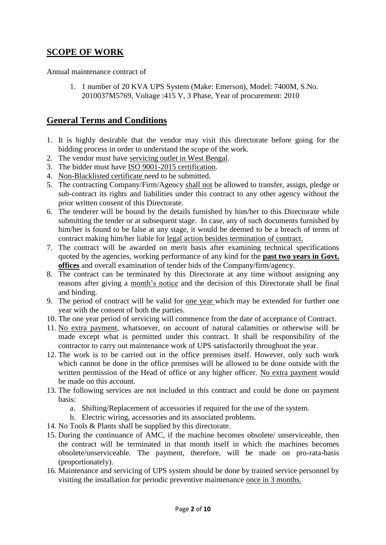### **SCOPE OF WORK**

Annual maintenance contract of

1. 1 number of 20 KVA UPS System (Make: Emerson), Model: 7400M, S.No. 2010037M5769, Voltage :415 V, 3 Phase, Year of procurement: 2010

#### **General Terms and Conditions**

- 1. It is highly desirable that the vendor may visit this directorate before going for the bidding process in order to understand the scope of the work.
- 2. The vendor must have servicing outlet in West Bengal.
- 3. The bidder must have ISO 9001-2015 certification.
- 4. Non-Blacklisted certificate need to be submitted.
- 5. The contracting Company/Firm/Agency shall not be allowed to transfer, assign, pledge or sub-contract its rights and liabilities under this contract to any other agency without the prior written consent of this Directorate.
- 6. The tenderer will be bound by the details furnished by him/her to this Directorate while submitting the tender or at subsequent stage. In case, any of such documents furnished by him/her is found to be false at any stage, it would be deemed to be a breach of terms of contract making him/her liable for legal action besides termination of contract.
- 7. The contract will be awarded on merit basis after examining technical specifications quoted by the agencies, working performance of any kind for the **past two years in Govt. offices** and overall examination of tender bids of the Company/firm/agency.
- 8. The contract can be terminated by this Directorate at any time without assigning any reasons after giving a month's notice and the decision of this Directorate shall be final and binding.
- 9. The period of contract will be valid for one year which may be extended for further one year with the consent of both the parties.
- 10. The one year period of servicing will commence from the date of acceptance of Contract.
- 11. No extra payment, whatsoever, on account of natural calamities or otherwise will be made except what is permitted under this contract. It shall be responsibility of the contractor to carry out maintenance work of UPS satisfactorily throughout the year.
- 12. The work is to be carried out in the office premises itself. However, only such work which cannot be done in the office premises will be allowed to be done outside with the written permission of the Head of office or any higher officer. No extra payment would be made on this account.
- 13. The following services are not included in this contract and could be done on payment basis:
	- a. Shifting/Replacement of accessories if required for the use of the system.
	- b. Electric wiring, accessories and its associated problems.
- 14. No Tools & Plants shall be supplied by this directorate.
- 15. During the continuance of AMC, if the machine becomes obsolete/ unserviceable, then the contract will be terminated in that month itself in which the machines becomes obsolete/unserviceable. The payment, therefore, will be made on pro-rata-basis (proportionately).
- 16. Maintenance and servicing of UPS system should be done by trained service personnel by visiting the installation for periodic preventive maintenance once in 3 months.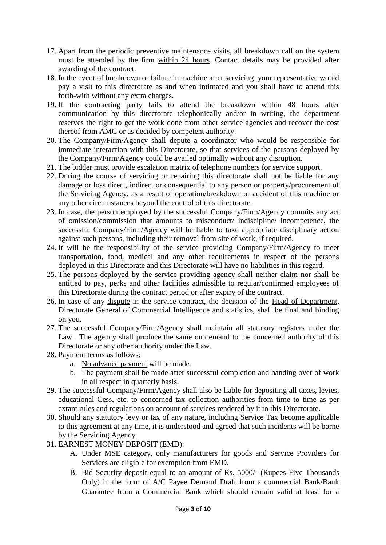- 17. Apart from the periodic preventive maintenance visits, all breakdown call on the system must be attended by the firm within 24 hours. Contact details may be provided after awarding of the contract.
- 18. In the event of breakdown or failure in machine after servicing, your representative would pay a visit to this directorate as and when intimated and you shall have to attend this forth-with without any extra charges.
- 19. If the contracting party fails to attend the breakdown within 48 hours after communication by this directorate telephonically and/or in writing, the department reserves the right to get the work done from other service agencies and recover the cost thereof from AMC or as decided by competent authority.
- 20. The Company/Firm/Agency shall depute a coordinator who would be responsible for immediate interaction with this Directorate, so that services of the persons deployed by the Company/Firm/Agency could be availed optimally without any disruption.
- 21. The bidder must provide escalation matrix of telephone numbers for service support.
- 22. During the course of servicing or repairing this directorate shall not be liable for any damage or loss direct, indirect or consequential to any person or property/procurement of the Servicing Agency, as a result of operation/breakdown or accident of this machine or any other circumstances beyond the control of this directorate.
- 23. In case, the person employed by the successful Company/Firm/Agency commits any act of omission/commission that amounts to misconduct/ indiscipline/ incompetence, the successful Company/Firm/Agency will be liable to take appropriate disciplinary action against such persons, including their removal from site of work, if required.
- 24. It will be the responsibility of the service providing Company/Firm/Agency to meet transportation, food, medical and any other requirements in respect of the persons deployed in this Directorate and this Directorate will have no liabilities in this regard.
- 25. The persons deployed by the service providing agency shall neither claim nor shall be entitled to pay, perks and other facilities admissible to regular/confirmed employees of this Directorate during the contract period or after expiry of the contract.
- 26. In case of any dispute in the service contract, the decision of the Head of Department, Directorate General of Commercial Intelligence and statistics, shall be final and binding on you.
- 27. The successful Company/Firm/Agency shall maintain all statutory registers under the Law. The agency shall produce the same on demand to the concerned authority of this Directorate or any other authority under the Law.
- 28. Payment terms as follows:
	- a. No advance payment will be made.
	- b. The payment shall be made after successful completion and handing over of work in all respect in quarterly basis.
- 29. The successful Company/Firm/Agency shall also be liable for depositing all taxes, levies, educational Cess, etc. to concerned tax collection authorities from time to time as per extant rules and regulations on account of services rendered by it to this Directorate.
- 30. Should any statutory levy or tax of any nature, including Service Tax become applicable to this agreement at any time, it is understood and agreed that such incidents will be borne by the Servicing Agency.
- 31. EARNEST MONEY DEPOSIT (EMD):
	- A. Under MSE category, only manufacturers for goods and Service Providers for Services are eligible for exemption from EMD.
	- B. Bid Security deposit equal to an amount of Rs. 5000/- (Rupees Five Thousands Only) in the form of A/C Payee Demand Draft from a commercial Bank/Bank Guarantee from a Commercial Bank which should remain valid at least for a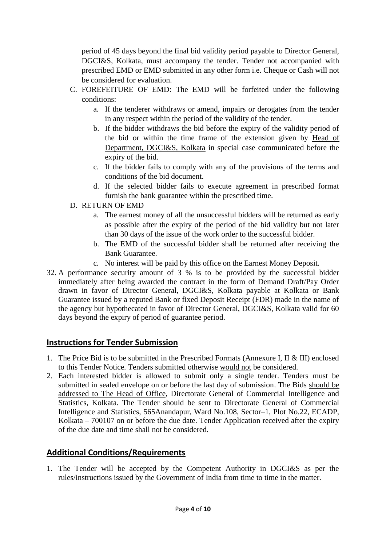period of 45 days beyond the final bid validity period payable to Director General, DGCI&S, Kolkata, must accompany the tender. Tender not accompanied with prescribed EMD or EMD submitted in any other form i.e. Cheque or Cash will not be considered for evaluation.

- C. FOREFEITURE OF EMD: The EMD will be forfeited under the following conditions:
	- a. If the tenderer withdraws or amend, impairs or derogates from the tender in any respect within the period of the validity of the tender.
	- b. If the bidder withdraws the bid before the expiry of the validity period of the bid or within the time frame of the extension given by Head of Department, DGCI&S, Kolkata in special case communicated before the expiry of the bid.
	- c. If the bidder fails to comply with any of the provisions of the terms and conditions of the bid document.
	- d. If the selected bidder fails to execute agreement in prescribed format furnish the bank guarantee within the prescribed time.
- D. RETURN OF EMD
	- a. The earnest money of all the unsuccessful bidders will be returned as early as possible after the expiry of the period of the bid validity but not later than 30 days of the issue of the work order to the successful bidder.
	- b. The EMD of the successful bidder shall be returned after receiving the Bank Guarantee.
	- c. No interest will be paid by this office on the Earnest Money Deposit.
- 32. A performance security amount of 3 % is to be provided by the successful bidder immediately after being awarded the contract in the form of Demand Draft/Pay Order drawn in favor of Director General, DGCI&S, Kolkata payable at Kolkata or Bank Guarantee issued by a reputed Bank or fixed Deposit Receipt (FDR) made in the name of the agency but hypothecated in favor of Director General, DGCI&S, Kolkata valid for 60 days beyond the expiry of period of guarantee period.

### **Instructions for Tender Submission**

- 1. The Price Bid is to be submitted in the Prescribed Formats (Annexure I, II & III) enclosed to this Tender Notice. Tenders submitted otherwise would not be considered.
- 2. Each interested bidder is allowed to submit only a single tender. Tenders must be submitted in sealed envelope on or before the last day of submission. The Bids should be addressed to The Head of Office, Directorate General of Commercial Intelligence and Statistics, Kolkata. The Tender should be sent to Directorate General of Commercial Intelligence and Statistics, 565Anandapur, Ward No.108, Sector–1, Plot No.22, ECADP, Kolkata – 700107 on or before the due date. Tender Application received after the expiry of the due date and time shall not be considered.

### **Additional Conditions/Requirements**

1. The Tender will be accepted by the Competent Authority in DGCI&S as per the rules/instructions issued by the Government of India from time to time in the matter.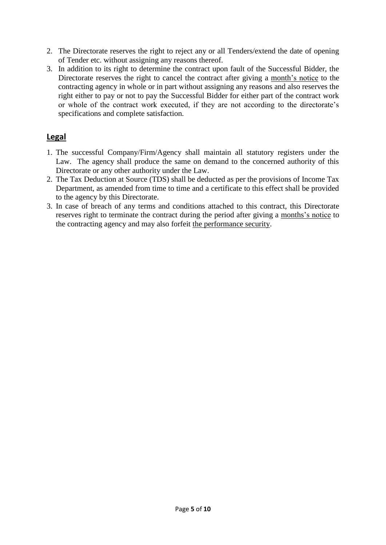- 2. The Directorate reserves the right to reject any or all Tenders/extend the date of opening of Tender etc. without assigning any reasons thereof.
- 3. In addition to its right to determine the contract upon fault of the Successful Bidder, the Directorate reserves the right to cancel the contract after giving a month's notice to the contracting agency in whole or in part without assigning any reasons and also reserves the right either to pay or not to pay the Successful Bidder for either part of the contract work or whole of the contract work executed, if they are not according to the directorate's specifications and complete satisfaction.

#### **Legal**

- 1. The successful Company/Firm/Agency shall maintain all statutory registers under the Law. The agency shall produce the same on demand to the concerned authority of this Directorate or any other authority under the Law.
- 2. The Tax Deduction at Source (TDS) shall be deducted as per the provisions of Income Tax Department, as amended from time to time and a certificate to this effect shall be provided to the agency by this Directorate.
- 3. In case of breach of any terms and conditions attached to this contract, this Directorate reserves right to terminate the contract during the period after giving a months's notice to the contracting agency and may also forfeit the performance security.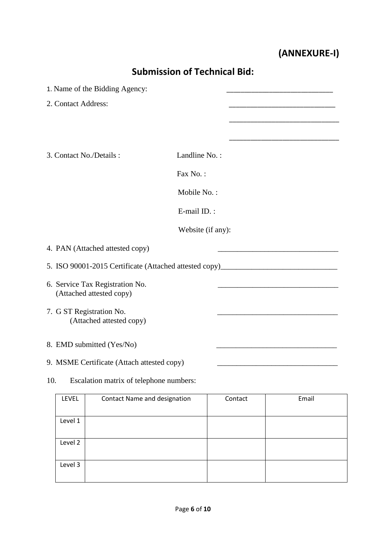# **(ANNEXURE-I)**

|                                                                                  | <b>Submission of Technical Bid:</b> |            |       |
|----------------------------------------------------------------------------------|-------------------------------------|------------|-------|
| 1. Name of the Bidding Agency:                                                   |                                     |            |       |
| 2. Contact Address:                                                              |                                     |            |       |
|                                                                                  |                                     |            |       |
|                                                                                  |                                     |            |       |
| 3. Contact No./Details:                                                          | Landline No.:                       |            |       |
|                                                                                  | Fax No.:                            |            |       |
|                                                                                  | Mobile No.:                         |            |       |
|                                                                                  | E-mail ID.:                         |            |       |
|                                                                                  | Website (if any):                   |            |       |
| 4. PAN (Attached attested copy)                                                  |                                     |            |       |
| 5. ISO 90001-2015 Certificate (Attached attested copy)__________________________ |                                     |            |       |
| 6. Service Tax Registration No.<br>(Attached attested copy)                      |                                     |            |       |
| 7. G ST Registration No.<br>(Attached attested copy)                             |                                     |            |       |
| 8. EMD submitted (Yes/No)                                                        |                                     |            |       |
| 9. MSME Certificate (Attach attested copy)                                       |                                     |            |       |
| 10.<br>Escalation matrix of telephone numbers:                                   |                                     |            |       |
| IENIEI<br>Contact Name and decignation                                           |                                     | $C$ ontoct | Email |

| LEVEL   | Contact Name and designation | Contact | Email |
|---------|------------------------------|---------|-------|
|         |                              |         |       |
| Level 1 |                              |         |       |
|         |                              |         |       |
| Level 2 |                              |         |       |
|         |                              |         |       |
| Level 3 |                              |         |       |
|         |                              |         |       |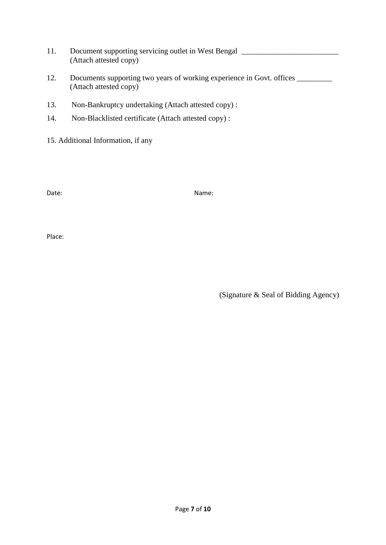- 11. Document supporting servicing outlet in West Bengal \_\_\_\_\_\_\_\_\_\_\_\_\_\_\_\_\_\_\_\_\_\_\_\_ (Attach attested copy)
- 12. Documents supporting two years of working experience in Govt. offices \_\_\_\_\_\_\_ (Attach attested copy)
- 13. Non-Bankruptcy undertaking (Attach attested copy) :
- 14. Non-Blacklisted certificate (Attach attested copy) :
- 15. Additional Information, if any

Date: Name: Name: Name: Name: Name: Name: Name: Name: Name: Name: Name: Name: Name: Name: Name: Name: Name: Name: Name: Name: Name: Name:  $N$ 

Place:

(Signature & Seal of Bidding Agency)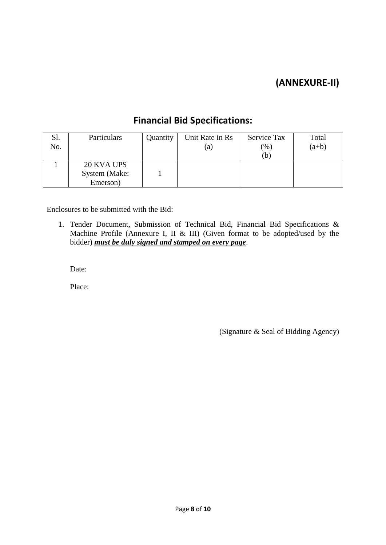### **(ANNEXURE-II)**

### **Financial Bid Specifications:**

| Sl.<br>No. | Particulars                             | Quantity | Unit Rate in Rs<br>(a) | Service Tax<br>$\frac{9}{6}$<br>(b | Total<br>$(a+b)$ |
|------------|-----------------------------------------|----------|------------------------|------------------------------------|------------------|
|            | 20 KVA UPS<br>System (Make:<br>Emerson) |          |                        |                                    |                  |

Enclosures to be submitted with the Bid:

1. Tender Document, Submission of Technical Bid, Financial Bid Specifications & Machine Profile (Annexure I, II & III) (Given format to be adopted/used by the bidder) *must be duly signed and stamped on every page*.

Date:

Place:

(Signature & Seal of Bidding Agency)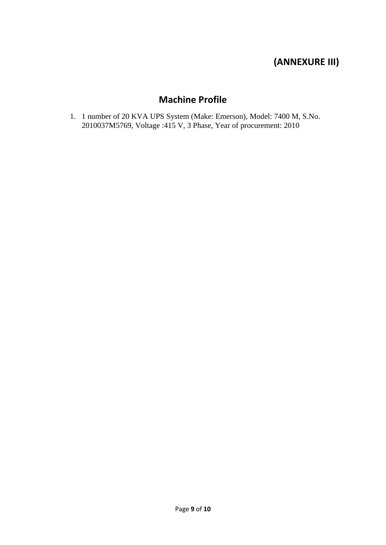# **(ANNEXURE III)**

# **Machine Profile**

1. 1 number of 20 KVA UPS System (Make: Emerson), Model: 7400 M, S.No. 2010037M5769, Voltage :415 V, 3 Phase, Year of procurement: 2010